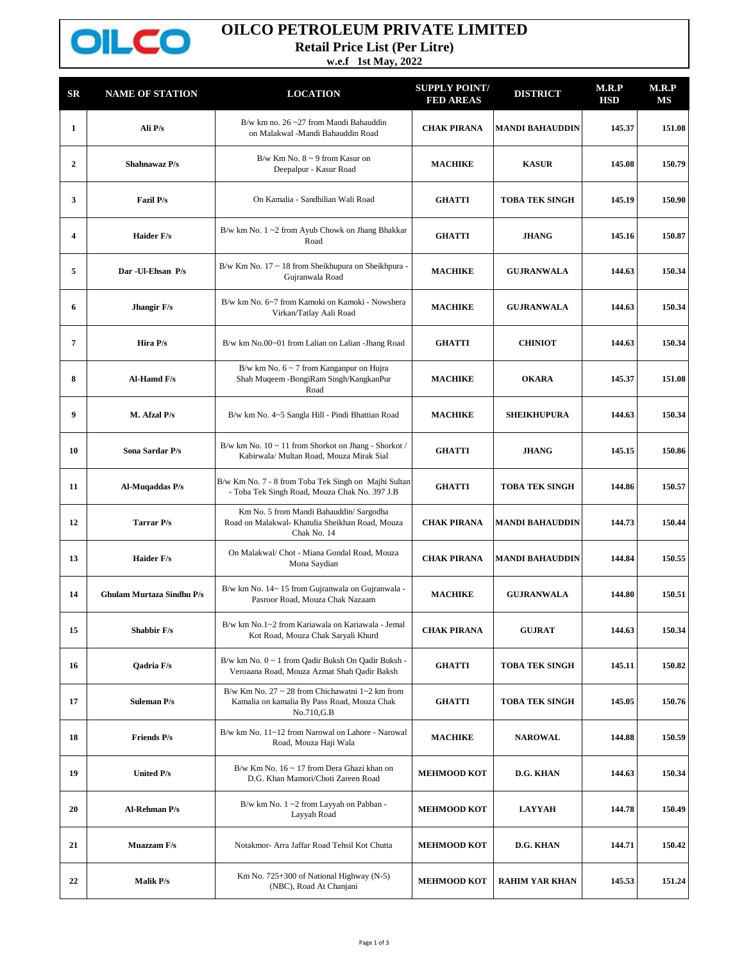

## **OILCO PETROLEUM PRIVATE LIMITED**

**Retail Price List (Per Litre)**

**w.e.f 1st May, 2022**

| SR                      | <b>NAME OF STATION</b>           | <b>LOCATION</b>                                                                                                           | <b>SUPPLY POINT/</b><br><b>FED AREAS</b> | <b>DISTRICT</b>        | M.R.P<br>HSD | M.R.P<br>МS |
|-------------------------|----------------------------------|---------------------------------------------------------------------------------------------------------------------------|------------------------------------------|------------------------|--------------|-------------|
| 1                       | Ali P/s                          | B/w km no. $26 - 27$ from Mandi Bahauddin<br>on Malakwal -Mandi Bahauddin Road                                            | <b>CHAK PIRANA</b>                       | <b>MANDI BAHAUDDIN</b> | 145.37       | 151.08      |
| $\overline{2}$          | Shahnawaz P/s                    | B/w Km No. $8 \sim 9$ from Kasur on<br>Deepalpur - Kasur Road                                                             | <b>MACHIKE</b>                           | <b>KASUR</b>           | 145.08       | 150.79      |
| 3                       | Fazil P/s                        | On Kamalia - Sandhilian Wali Road                                                                                         | <b>GHATTI</b>                            | <b>TOBA TEK SINGH</b>  | 145.19       | 150.90      |
| $\overline{\mathbf{4}}$ | <b>Haider F/s</b>                | B/w km No. $1 \sim 2$ from Ayub Chowk on Jhang Bhakkar<br>Road                                                            | <b>GHATTI</b>                            | <b>JHANG</b>           | 145.16       | 150.87      |
| 5                       | Dar - Ul-Ehsan P/s               | B/w Km No. 17 ~ 18 from Sheikhupura on Sheikhpura -<br>Gujranwala Road                                                    | <b>MACHIKE</b>                           | <b>GUJRANWALA</b>      | 144.63       | 150.34      |
| 6                       | Jhangir F/s                      | B/w km No. 6~7 from Kamoki on Kamoki - Nowshera<br>Virkan/Tatlay Aali Road                                                | <b>MACHIKE</b>                           | <b>GUJRANWALA</b>      | 144.63       | 150.34      |
| 7                       | Hira P/s                         | B/w km No.00~01 from Lalian on Lalian -Jhang Road                                                                         | <b>GHATTI</b>                            | <b>CHINIOT</b>         | 144.63       | 150.34      |
| 8                       | Al-Hamd F/s                      | B/w km No. $6 \sim 7$ from Kanganpur on Hujra<br>Shah Muqeem -BongiRam Singh/KangkanPur<br>Road                           | <b>MACHIKE</b>                           | <b>OKARA</b>           | 145.37       | 151.08      |
| 9                       | M. Afzal P/s                     | B/w km No. 4~5 Sangla Hill - Pindi Bhattian Road                                                                          | <b>MACHIKE</b>                           | <b>SHEIKHUPURA</b>     | 144.63       | 150.34      |
| 10                      | Sona Sardar P/s                  | B/w km No. 10 ~ 11 from Shorkot on Jhang - Shorkot /<br>Kabirwala/ Multan Road, Mouza Mirak Sial                          | <b>GHATTI</b>                            | <b>JHANG</b>           | 145.15       | 150.86      |
| 11                      | Al-Muqaddas P/s                  | B/w Km No. 7 - 8 from Toba Tek Singh on Majhi Sultan<br>- Toba Tek Singh Road, Mouza Chak No. 397 J.B                     | <b>GHATTI</b>                            | <b>TOBA TEK SINGH</b>  | 144.86       | 150.57      |
| 12                      | <b>Tarrar P/s</b>                | Km No. 5 from Mandi Bahauddin/ Sargodha<br>Road on Malakwal- Khatulia Sheikhan Road, Mouza<br>Chak No. 14                 | <b>CHAK PIRANA</b>                       | <b>MANDI BAHAUDDIN</b> | 144.73       | 150.44      |
| 13                      | <b>Haider F/s</b>                | On Malakwal/ Chot - Miana Gondal Road, Mouza<br>Mona Saydian                                                              | <b>CHAK PIRANA</b>                       | <b>MANDI BAHAUDDIN</b> | 144.84       | 150.55      |
| 14                      | <b>Ghulam Murtaza Sindhu P/s</b> | B/w km No. 14~15 from Gujranwala on Gujranwala -<br>Pasroor Road, Mouza Chak Nazaam                                       | <b>MACHIKE</b>                           | <b>GUJRANWALA</b>      | 144.80       | 150.51      |
| 15                      | <b>Shabbir F/s</b>               | B/w km No.1~2 from Kariawala on Kariawala - Jemal<br>Kot Road, Mouza Chak Saryali Khurd                                   | <b>CHAK PIRANA</b>                       | <b>GUJRAT</b>          | 144.63       | 150.34      |
| 16                      | <b>Oadria F/s</b>                | B/w km No. 0 ~ 1 from Qadir Buksh On Qadir Buksh -<br>Veroaana Road, Mouza Azmat Shah Qadir Baksh                         | <b>GHATTI</b>                            | TOBA TEK SINGH         | 145.11       | 150.82      |
| 17                      | <b>Suleman P/s</b>               | B/w Km No. 27 $\sim$ 28 from Chichawatni 1 $\sim$ 2 km from<br>Kamalia on kamalia By Pass Road, Mouza Chak<br>No.710, G.B | <b>GHATTI</b>                            | <b>TOBA TEK SINGH</b>  | 145.05       | 150.76      |
| 18                      | <b>Friends P/s</b>               | B/w km No. 11~12 from Narowal on Lahore - Narowal<br>Road, Mouza Haji Wala                                                | <b>MACHIKE</b>                           | <b>NAROWAL</b>         | 144.88       | 150.59      |
| 19                      | <b>United P/s</b>                | B/w Km No. $16 \sim 17$ from Dera Ghazi khan on<br>D.G. Khan Mamori/Choti Zareen Road                                     | <b>MEHMOOD KOT</b>                       | D.G. KHAN              | 144.63       | 150.34      |
| 20                      | Al-Rehman P/s                    | B/w km No. $1 \sim 2$ from Layyah on Pabban -<br>Layyah Road                                                              | <b>MEHMOOD KOT</b>                       | <b>LAYYAH</b>          | 144.78       | 150.49      |
| 21                      | Muazzam F/s                      | Notakmor- Arra Jaffar Road Tehsil Kot Chutta                                                                              | <b>MEHMOOD KOT</b>                       | D.G. KHAN              | 144.71       | 150.42      |
| 22                      | <b>Malik P/s</b>                 | Km No. 725+300 of National Highway (N-5)<br>(NBC), Road At Chanjani                                                       | <b>MEHMOOD KOT</b>                       | <b>RAHIM YAR KHAN</b>  | 145.53       | 151.24      |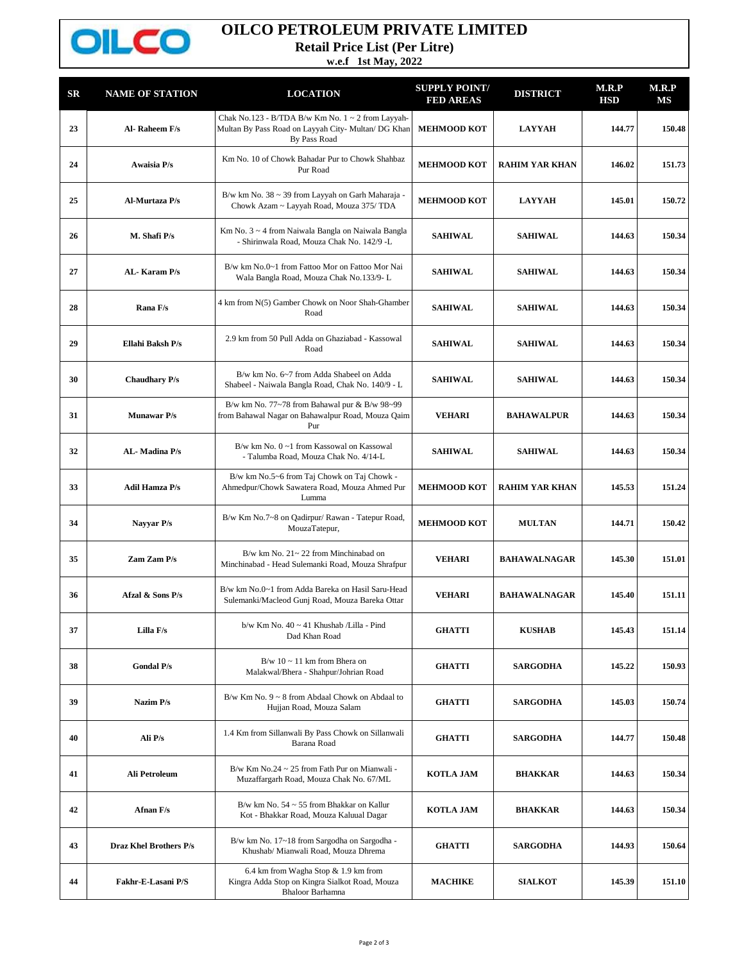

## **OILCO PETROLEUM PRIVATE LIMITED**

**Retail Price List (Per Litre)**

**w.e.f 1st May, 2022**

| SR | <b>NAME OF STATION</b>        | <b>LOCATION</b>                                                                                                               | <b>SUPPLY POINT/</b><br><b>FED AREAS</b> | <b>DISTRICT</b>       | M.R.P<br><b>HSD</b> | M.R.P<br>MS |
|----|-------------------------------|-------------------------------------------------------------------------------------------------------------------------------|------------------------------------------|-----------------------|---------------------|-------------|
| 23 | Al-Raheem F/s                 | Chak No.123 - B/TDA B/w Km No. $1 \sim 2$ from Layyah-<br>Multan By Pass Road on Layyah City- Multan/ DG Khan<br>By Pass Road | <b>MEHMOOD KOT</b>                       | <b>LAYYAH</b>         | 144.77              | 150.48      |
| 24 | Awaisia P/s                   | Km No. 10 of Chowk Bahadar Pur to Chowk Shahbaz<br>Pur Road                                                                   | <b>MEHMOOD KOT</b>                       | <b>RAHIM YAR KHAN</b> | 146.02              | 151.73      |
| 25 | Al-Murtaza P/s                | B/w km No. 38 ~ 39 from Layyah on Garh Maharaja -<br>Chowk Azam ~ Layyah Road, Mouza 375/ TDA                                 | <b>MEHMOOD KOT</b>                       | <b>LAYYAH</b>         | 145.01              | 150.72      |
| 26 | M. Shafi P/s                  | Km No. 3 ~ 4 from Naiwala Bangla on Naiwala Bangla<br>- Shirinwala Road, Mouza Chak No. 142/9 -L                              | <b>SAHIWAL</b>                           | <b>SAHIWAL</b>        | 144.63              | 150.34      |
| 27 | AL-Karam P/s                  | B/w km No.0~1 from Fattoo Mor on Fattoo Mor Nai<br>Wala Bangla Road, Mouza Chak No.133/9-L                                    | <b>SAHIWAL</b>                           | <b>SAHIWAL</b>        | 144.63              | 150.34      |
| 28 | Rana F/s                      | 4 km from N(5) Gamber Chowk on Noor Shah-Ghamber<br>Road                                                                      | <b>SAHIWAL</b>                           | <b>SAHIWAL</b>        | 144.63              | 150.34      |
| 29 | Ellahi Baksh P/s              | 2.9 km from 50 Pull Adda on Ghaziabad - Kassowal<br>Road                                                                      | <b>SAHIWAL</b>                           | <b>SAHIWAL</b>        | 144.63              | 150.34      |
| 30 | <b>Chaudhary P/s</b>          | B/w km No. 6~7 from Adda Shabeel on Adda<br>Shabeel - Naiwala Bangla Road, Chak No. 140/9 - L                                 | <b>SAHIWAL</b>                           | <b>SAHIWAL</b>        | 144.63              | 150.34      |
| 31 | <b>Munawar P/s</b>            | B/w km No. 77~78 from Bahawal pur & B/w 98~99<br>from Bahawal Nagar on Bahawalpur Road, Mouza Qaim<br>Pur                     | <b>VEHARI</b>                            | <b>BAHAWALPUR</b>     | 144.63              | 150.34      |
| 32 | AL-Madina P/s                 | B/w km No. 0~1 from Kassowal on Kassowal<br>- Talumba Road, Mouza Chak No. 4/14-L                                             | <b>SAHIWAL</b>                           | <b>SAHIWAL</b>        | 144.63              | 150.34      |
| 33 | <b>Adil Hamza P/s</b>         | B/w km No.5~6 from Taj Chowk on Taj Chowk -<br>Ahmedpur/Chowk Sawatera Road, Mouza Ahmed Pur<br>Lumma                         | <b>MEHMOOD KOT</b>                       | <b>RAHIM YAR KHAN</b> | 145.53              | 151.24      |
| 34 | Nayyar P/s                    | B/w Km No.7~8 on Qadirpur/ Rawan - Tatepur Road,<br>MouzaTatepur,                                                             | <b>MEHMOOD KOT</b>                       | <b>MULTAN</b>         | 144.71              | 150.42      |
| 35 | Zam Zam P/s                   | B/w km No. $21 - 22$ from Minchinabad on<br>Minchinabad - Head Sulemanki Road, Mouza Shrafpur                                 | <b>VEHARI</b>                            | <b>BAHAWALNAGAR</b>   | 145.30              | 151.01      |
| 36 | Afzal & Sons P/s              | B/w km No.0~1 from Adda Bareka on Hasil Saru-Head<br>Sulemanki/Macleod Gunj Road, Mouza Bareka Ottar                          | <b>VEHARI</b>                            | <b>BAHAWALNAGAR</b>   | 145.40              | 151.11      |
| 37 | Lilla F/s                     | b/w Km No. 40 ~ 41 Khushab /Lilla - Pind<br>Dad Khan Road                                                                     | <b>GHATTI</b>                            | <b>KUSHAB</b>         | 145.43              | 151.14      |
| 38 | <b>Gondal P/s</b>             | $B/w 10 \sim 11$ km from Bhera on<br>Malakwal/Bhera - Shahpur/Johrian Road                                                    | <b>GHATTI</b>                            | <b>SARGODHA</b>       | 145.22              | 150.93      |
| 39 | Nazim P/s                     | B/w Km No. $9 \sim 8$ from Abdaal Chowk on Abdaal to<br>Hujjan Road, Mouza Salam                                              | <b>GHATTI</b>                            | <b>SARGODHA</b>       | 145.03              | 150.74      |
| 40 | Ali P/s                       | 1.4 Km from Sillanwali By Pass Chowk on Sillanwali<br>Barana Road                                                             | <b>GHATTI</b>                            | <b>SARGODHA</b>       | 144.77              | 150.48      |
| 41 | Ali Petroleum                 | B/w Km No.24 $\sim$ 25 from Fath Pur on Mianwali -<br>Muzaffargarh Road, Mouza Chak No. 67/ML                                 | <b>KOTLA JAM</b>                         | <b>BHAKKAR</b>        | 144.63              | 150.34      |
| 42 | Afnan F/s                     | B/w km No. $54 \sim 55$ from Bhakkar on Kallur<br>Kot - Bhakkar Road, Mouza Kaluual Dagar                                     | <b>KOTLA JAM</b>                         | <b>BHAKKAR</b>        | 144.63              | 150.34      |
| 43 | <b>Draz Khel Brothers P/s</b> | B/w km No. 17~18 from Sargodha on Sargodha -<br>Khushab/ Mianwali Road, Mouza Dhrema                                          | <b>GHATTI</b>                            | <b>SARGODHA</b>       | 144.93              | 150.64      |
| 44 | Fakhr-E-Lasani P/S            | 6.4 km from Wagha Stop & 1.9 km from<br>Kingra Adda Stop on Kingra Sialkot Road, Mouza<br><b>Bhaloor Barhamna</b>             | <b>MACHIKE</b>                           | <b>SIALKOT</b>        | 145.39              | 151.10      |